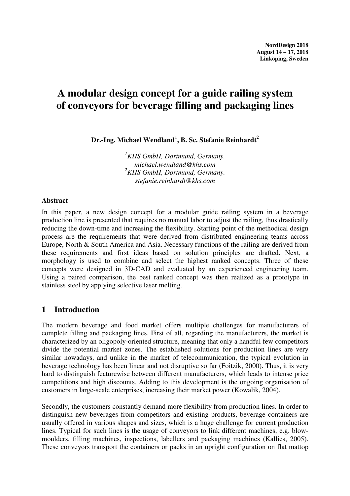# **A modular design concept for a guide railing system of conveyors for beverage filling and packaging lines**

**Dr.-Ing. Michael Wendland<sup>1</sup> , B. Sc. Stefanie Reinhardt<sup>2</sup>** 

*<sup>1</sup>KHS GmbH, Dortmund, Germany. michael.wendland@khs.com <sup>2</sup>KHS GmbH, Dortmund, Germany. stefanie.reinhardt@khs.com* 

#### **Abstract**

In this paper, a new design concept for a modular guide railing system in a beverage production line is presented that requires no manual labor to adjust the railing, thus drastically reducing the down-time and increasing the flexibility. Starting point of the methodical design process are the requirements that were derived from distributed engineering teams across Europe, North & South America and Asia. Necessary functions of the railing are derived from these requirements and first ideas based on solution principles are drafted. Next, a morphology is used to combine and select the highest ranked concepts. Three of these concepts were designed in 3D-CAD and evaluated by an experienced engineering team. Using a paired comparison, the best ranked concept was then realized as a prototype in stainless steel by applying selective laser melting.

#### **1 Introduction**

The modern beverage and food market offers multiple challenges for manufacturers of complete filling and packaging lines. First of all, regarding the manufacturers, the market is characterized by an oligopoly-oriented structure, meaning that only a handful few competitors divide the potential market zones. The established solutions for production lines are very similar nowadays, and unlike in the market of telecommunication, the typical evolution in beverage technology has been linear and not disruptive so far (Foitzik, 2000). Thus, it is very hard to distinguish featurewise between different manufacturers, which leads to intense price competitions and high discounts. Adding to this development is the ongoing organisation of customers in large-scale enterprises, increasing their market power (Kowalik, 2004).

Secondly, the customers constantly demand more flexibility from production lines. In order to distinguish new beverages from competitors and existing products, beverage containers are usually offered in various shapes and sizes, which is a huge challenge for current production lines. Typical for such lines is the usage of conveyors to link different machines, e.g. blowmoulders, filling machines, inspections, labellers and packaging machines (Kallies, 2005). These conveyors transport the containers or packs in an upright configuration on flat mattop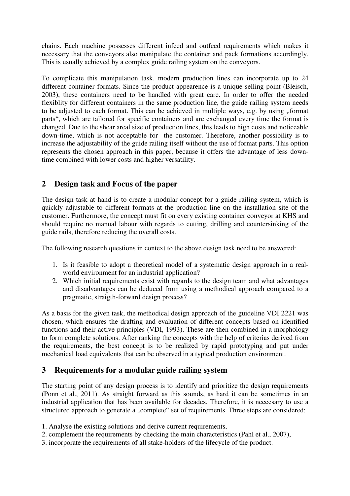chains. Each machine possesses different infeed and outfeed requirements which makes it necessary that the conveyors also manipulate the container and pack formations accordingly. This is usually achieved by a complex guide railing system on the conveyors.

To complicate this manipulation task, modern production lines can incorporate up to 24 different container formats. Since the product appearence is a unique selling point (Bleisch, 2003), these containers need to be handled with great care. In order to offer the needed flexiblity for different containers in the same production line, the guide railing system needs to be adjusted to each format. This can be achieved in multiple ways, e.g. by using "format parts", which are tailored for specific containers and are exchanged every time the format is changed. Due to the shear areal size of production lines, this leads to high costs and noticeable down-time, which is not acceptable for the customer. Therefore, another possibility is to increase the adjustability of the guide railing itself without the use of format parts. This option represents the chosen approach in this paper, because it offers the advantage of less downtime combined with lower costs and higher versatility.

### **2 Design task and Focus of the paper**

The design task at hand is to create a modular concept for a guide railing system, which is quickly adjustable to different formats at the production line on the installation site of the customer. Furthermore, the concept must fit on every existing container conveyor at KHS and should require no manual labour with regards to cutting, drilling and countersinking of the guide rails, therefore reducing the overall costs.

The following research questions in context to the above design task need to be answered:

- 1. Is it feasible to adopt a theoretical model of a systematic design approach in a realworld environment for an industrial application?
- 2. Which initial requirements exist with regards to the design team and what advantages and disadvantages can be deduced from using a methodical approach compared to a pragmatic, straigth-forward design process?

As a basis for the given task, the methodical design approach of the guideline VDI 2221 was chosen, which ensures the drafting and evaluation of different concepts based on identified functions and their active principles (VDI, 1993). These are then combined in a morphology to form complete solutions. After ranking the concepts with the help of criterias derived from the requirements, the best concept is to be realized by rapid prototyping and put under mechanical load equivalents that can be observed in a typical production environment.

### **3 Requirements for a modular guide railing system**

The starting point of any design process is to identify and prioritize the design requirements (Ponn et al., 2011). As straight forward as this sounds, as hard it can be sometimes in an industrial application that has been available for decades. Therefore, it is neccesary to use a structured approach to generate a "complete" set of requirements. Three steps are considered:

- 1. Analyse the existing solutions and derive current requirements,
- 2. complement the requirements by checking the main characteristics (Pahl et al., 2007),
- 3. incorporate the requirements of all stake-holders of the lifecycle of the product.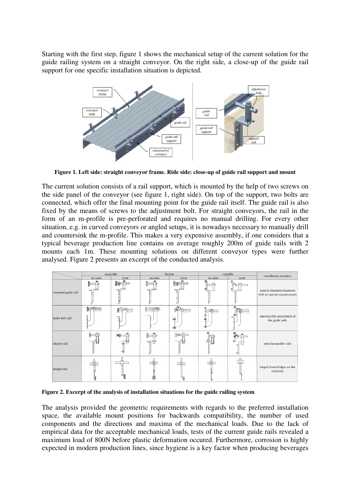Starting with the first step, figure 1 shows the mechanical setup of the current solution for the guide railing system on a straight conveyor. On the right side, a close-up of the guide rail support for one specific installation situation is depicted.



**Figure 1. Left side: straight conveyor frame. Ride side: close-up of guide rail support and mount** 

The current solution consists of a rail support, which is mounted by the help of two screws on the side panel of the conveyor (see figure 1, right side). On top of the support, two bolts are connected, which offer the final mounting point for the guide rail itself. The guide rail is also fixed by the means of screws to the adjustment bolt. For straight conveyors, the rail in the form of an m-profile is pre-perforated and requires no manual drilling. For every other situation, e.g. in curved conveyors or angled setups, it is nowadays necessary to manually drill and countersink the m-profile. This makes a very expensive assembly, if one considers that a typical beverage production line contains on average roughly 200m of guide rails with 2 mounts each 1m. These mounting solutions on different conveyor types were further analysed. Figure 2 presents an excerpt of the conducted analysis.



**Figure 2. Excerpt of the analysis of installation situations for the guide railing system** 

The analysis provided the geometric requirements with regards to the preferred installation space, the available mount positions for backwards compatibility, the number of used components and the directions and maxima of the mechanical loads. Due to the lack of empirical data for the acceptable mechanical loads, tests of the current guide rails revealed a maximum load of 800N before plastic deformation occured. Furthermore, corrosion is highly expected in modern production lines, since hygiene is a key factor when producing beverages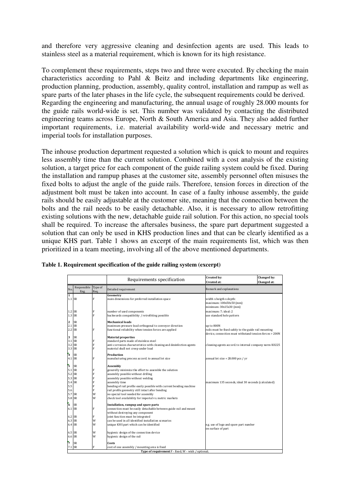and therefore very aggressive cleaning and desinfection agents are used. This leads to stainless steel as a material requirement, which is known for its high resistance.

To complement these requirements, steps two and three were executed. By checking the main characteristics according to Pahl & Beitz and including departments like engineering, production planning, production, assembly, quality control, installation and rampup as well as spare parts of the later phases in the life cycle, the subsequent requirements could be derived. Regarding the engineering and manufacturing, the annual usage of roughly 28.000 mounts for the guide rails world-wide is set. This number was validated by contacting the distributed engineering teams across Europe, North & South America and Asia. They also added further important requirements, i.e. material availability world-wide and necessary metric and imperial tools for installation purposes.

The inhouse production department requested a solution which is quick to mount and requires less assembly time than the current solution. Combined with a cost analysis of the existing solution, a target price for each component of the guide railing system could be fixed. During the installation and rampup phases at the customer site, assembly personnel often misuses the fixed bolts to adjust the angle of the guide rails. Therefore, tension forces in direction of the adjustment bolt must be taken into account. In case of a faulty inhouse assembly, the guide rails should be easily adjustable at the customer site, meaning that the connection between the bolts and the rail needs to be easily detachable. Also, it is necessary to allow retrofitting existing solutions with the new, detachable guide rail solution. For this action, no special tools shall be required. To increase the aftersales business, the spare part department suggested a solution that can only be used in KHS production lines and that can be clearly identified as a unique KHS part. Table 1 shows an excerpt of the main requirements list, which was then prioritized in a team meeting, involving all of the above mentioned departments.

|                         |                                                     |              | Requirements specification                                           | <b>Created by:</b><br><b>Created at:</b>                                                                         | Changed by:<br>Changed at: |  |  |  |  |  |
|-------------------------|-----------------------------------------------------|--------------|----------------------------------------------------------------------|------------------------------------------------------------------------------------------------------------------|----------------------------|--|--|--|--|--|
| No.                     | Responsible Type of                                 |              | Detailed requirement                                                 | Remark and explanations                                                                                          |                            |  |  |  |  |  |
| $\mathbf{1}$            | Eng.                                                | Req.         | Geometry                                                             |                                                                                                                  |                            |  |  |  |  |  |
| $1.1$ SR                |                                                     | F            | main dimensions for preferred installation space                     | width x heigth x depth:<br>maximum: 100x50x50 (mm)<br>minimum: 30x15x30 (mm)                                     |                            |  |  |  |  |  |
| $1.2$ SR                |                                                     | F            | number of used components                                            | maximum: 7; ideal: 2                                                                                             |                            |  |  |  |  |  |
| 1.3 SR                  |                                                     | $\mathbf{F}$ | backwards compatibility / retrofitting possible                      | use standard hole pattern                                                                                        |                            |  |  |  |  |  |
| 2                       | <b>SR</b>                                           |              | <b>Mechanical loads</b>                                              |                                                                                                                  |                            |  |  |  |  |  |
|                         | $2.1$ SR                                            |              | maximum pressure load orthogonal to conveyor direction               | up to 800N                                                                                                       |                            |  |  |  |  |  |
| $2.2$ SR                |                                                     | F            | functional reliability when tension forces are applied               | rails must be fixed safely to the guide rail mounting<br>device, connection must withstand tension forces > 200N |                            |  |  |  |  |  |
| 3                       | <b>SR</b>                                           |              | <b>Material properties</b>                                           |                                                                                                                  |                            |  |  |  |  |  |
| $3.1$ SR                |                                                     | F            | standard parts made of stainless steel                               |                                                                                                                  |                            |  |  |  |  |  |
| $3.2$ SR                |                                                     | F            | anti-corrosion characteristics with cleaning and desinfection agents | cleaning agents accord. to internal company norm K0225                                                           |                            |  |  |  |  |  |
| 3.3 SR                  |                                                     | F            | material shall not creep under load                                  |                                                                                                                  |                            |  |  |  |  |  |
| $\overline{\mathbf{4}}$ | <b>SR</b>                                           |              | Production                                                           |                                                                                                                  |                            |  |  |  |  |  |
|                         | $4.1$ SR                                            | F            | manufacturing process accord, to annual lot size                     | annual lot size = $28.000$ pcs / yr                                                                              |                            |  |  |  |  |  |
|                         |                                                     |              |                                                                      |                                                                                                                  |                            |  |  |  |  |  |
| 5                       | <b>SR</b>                                           |              | Assembly                                                             |                                                                                                                  |                            |  |  |  |  |  |
| $5.1$ SR                |                                                     | F            | generelly minimize the effort to assemble the solution               |                                                                                                                  |                            |  |  |  |  |  |
| $5.2$ SR                |                                                     | F            | assembly possible without drilling                                   |                                                                                                                  |                            |  |  |  |  |  |
| $5.3$ SR                |                                                     | F            | assembly possible without welding                                    |                                                                                                                  |                            |  |  |  |  |  |
| 5.4 SR                  |                                                     | F            | assembly time                                                        | maximum 135 seconds, ideal 30 seconds (calculated)                                                               |                            |  |  |  |  |  |
| 5.5                     |                                                     | F            | bending of rail profile easily possible with current bending machine |                                                                                                                  |                            |  |  |  |  |  |
| 5.6                     |                                                     | F            | rail profile geometry still intact after bending                     |                                                                                                                  |                            |  |  |  |  |  |
| 5.7 SR                  |                                                     | W            | no special tool needed for assembly                                  |                                                                                                                  |                            |  |  |  |  |  |
| $5.8$ SR                |                                                     | W            | check tool availability for imperial vs. metric markets              |                                                                                                                  |                            |  |  |  |  |  |
| 6                       | <b>SR</b>                                           |              | Installation, rampup and spare parts                                 |                                                                                                                  |                            |  |  |  |  |  |
| $6.1$ $SR$              |                                                     | F            | connection must be easily detachable between guide rail and mount    |                                                                                                                  |                            |  |  |  |  |  |
|                         |                                                     |              | without destroying any component                                     |                                                                                                                  |                            |  |  |  |  |  |
| $6.2$ SR                |                                                     | F            | joint function must be integrated                                    |                                                                                                                  |                            |  |  |  |  |  |
| $6.3$ SR                |                                                     | W            | can be used in all identified installation scenarios                 |                                                                                                                  |                            |  |  |  |  |  |
|                         |                                                     | W            |                                                                      |                                                                                                                  |                            |  |  |  |  |  |
|                         | $6.4$ SR                                            |              | unique KHS part which can be identified                              | e.g. use of logo and spare part number<br>on surface of part                                                     |                            |  |  |  |  |  |
| $6.5$ $SR$              |                                                     | W            | hygienic design of the connection device                             |                                                                                                                  |                            |  |  |  |  |  |
| 6.6 SR                  |                                                     | W            | hygienic design of the rail                                          |                                                                                                                  |                            |  |  |  |  |  |
|                         |                                                     |              |                                                                      |                                                                                                                  |                            |  |  |  |  |  |
| 7                       | <b>SR</b>                                           |              | Costs                                                                |                                                                                                                  |                            |  |  |  |  |  |
|                         | $7.1$ SR                                            | F            | cost of one assembly / mounting area is fixed                        |                                                                                                                  |                            |  |  |  |  |  |
|                         | Type of requirement F - fixed; W - wish / optional; |              |                                                                      |                                                                                                                  |                            |  |  |  |  |  |

**Table 1. Requirement specification of the guide railing system (excerpt)**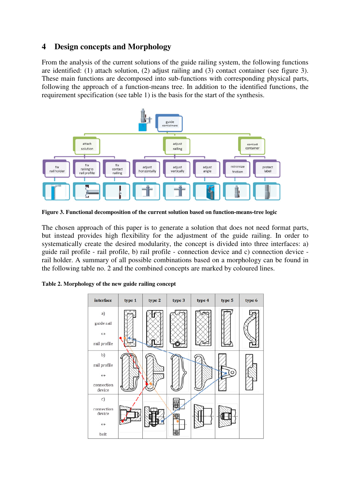## **4 Design concepts and Morphology**

From the analysis of the current solutions of the guide railing system, the following functions are identified: (1) attach solution, (2) adjust railing and (3) contact container (see figure 3). These main functions are decomposed into sub-functions with corresponding physical parts, following the approach of a function-means tree. In addition to the identified functions, the requirement specification (see table 1) is the basis for the start of the synthesis.



**Figure 3. Functional decomposition of the current solution based on function-means-tree logic** 

The chosen approach of this paper is to generate a solution that does not need format parts, but instead provides high flexibility for the adjustment of the guide railing. In order to systematically create the desired modularity, the concept is divided into three interfaces: a) guide rail profile - rail profile, b) rail profile - connection device and c) connection device rail holder. A summary of all possible combinations based on a morphology can be found in the following table no. 2 and the combined concepts are marked by coloured lines.

|  |  | Table 2. Morphology of the new guide railing concept |
|--|--|------------------------------------------------------|
|  |  |                                                      |

| interface            | type 1 | type 2 | type 3 | type 4 | type 5 | type 6 |
|----------------------|--------|--------|--------|--------|--------|--------|
| a)                   |        |        |        |        |        |        |
| guide rail           |        |        |        |        |        |        |
| $\leftrightarrow$    |        |        |        |        |        |        |
| rail profile         |        |        |        |        |        |        |
| b)                   |        |        |        |        |        |        |
| rail profile         |        |        |        |        |        |        |
| $\leftrightarrow$    |        |        |        |        |        |        |
| connection<br>device |        |        |        |        |        |        |
| c)                   |        |        |        |        |        |        |
| connection<br>device |        |        | Θ      |        |        |        |
| $\leftrightarrow$    |        |        |        |        |        |        |
| bolt                 |        |        | ⊚      |        |        |        |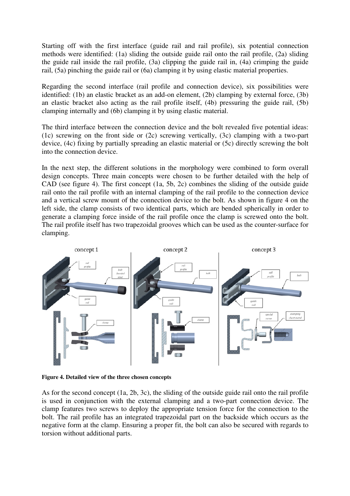Starting off with the first interface (guide rail and rail profile), six potential connection methods were identified: (1a) sliding the outside guide rail onto the rail profile, (2a) sliding the guide rail inside the rail profile, (3a) clipping the guide rail in, (4a) crimping the guide rail, (5a) pinching the guide rail or (6a) clamping it by using elastic material properties.

Regarding the second interface (rail profile and connection device), six possibilities were identified: (1b) an elastic bracket as an add-on element, (2b) clamping by external force, (3b) an elastic bracket also acting as the rail profile itself, (4b) pressuring the guide rail, (5b) clamping internally and (6b) clamping it by using elastic material.

The third interface between the connection device and the bolt revealed five potential ideas: (1c) screwing on the front side or (2c) screwing vertically, (3c) clamping with a two-part device, (4c) fixing by partially spreading an elastic material or (5c) directly screwing the bolt into the connection device.

In the next step, the different solutions in the morphology were combined to form overall design concepts. Three main concepts were chosen to be further detailed with the help of CAD (see figure 4). The first concept (1a, 5b, 2c) combines the sliding of the outside guide rail onto the rail profile with an internal clamping of the rail profile to the connection device and a vertical screw mount of the connection device to the bolt. As shown in figure 4 on the left side, the clamp consists of two identical parts, which are bended spherically in order to generate a clamping force inside of the rail profile once the clamp is screwed onto the bolt. The rail profile itself has two trapezoidal grooves which can be used as the counter-surface for clamping.



**Figure 4. Detailed view of the three chosen concepts**

As for the second concept (1a, 2b, 3c), the sliding of the outside guide rail onto the rail profile is used in conjunction with the external clamping and a two-part connection device. The clamp features two screws to deploy the appropriate tension force for the connection to the bolt. The rail profile has an integrated trapezoidal part on the backside which occurs as the negative form at the clamp. Ensuring a proper fit, the bolt can also be secured with regards to torsion without additional parts.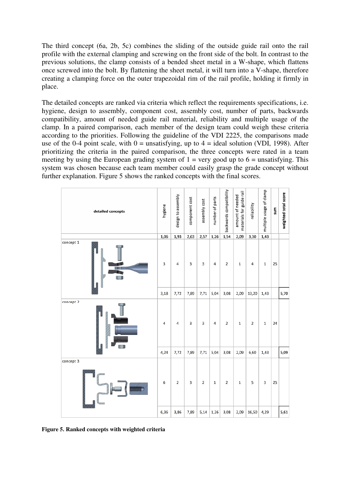The third concept (6a, 2b, 5c) combines the sliding of the outside guide rail onto the rail profile with the external clamping and screwing on the front side of the bolt. In contrast to the previous solutions, the clamp consists of a bended sheet metal in a W-shape, which flattens once screwed into the bolt. By flattening the sheet metal, it will turn into a V-shape, therefore creating a clamping force on the outer trapezoidal rim of the rail profile, holding it firmly in place.

The detailed concepts are ranked via criteria which reflect the requirements specifications, i.e. hygiene, design to assembly, component cost, assembly cost, number of parts, backwards compatibility, amount of needed guide rail material, reliability and multiple usage of the clamp. In a paired comparison, each member of the design team could weigh these criteria according to the priorities. Following the guideline of the VDI 2225, the comparisons made use of the 0-4 point scale, with  $0 =$  unsatisfying, up to  $4 =$  ideal solution (VDI, 1998). After prioritizing the criteria in the paired comparison, the three concepts were rated in a team meeting by using the European grading system of  $1 = \text{very good up to } 6 = \text{unsatisfying. This}$ system was chosen because each team member could easily grasp the grade concept without further explanation. Figure 5 shows the ranked concepts with the final scores.

| detailed concepts | hygiene | design to assembly | component cost          | assembly cost  | number of parts | backwards compatibility | materials for guide rail<br>amount of needed | reliability    | multiple usage of clamp | sum | weighted total score |
|-------------------|---------|--------------------|-------------------------|----------------|-----------------|-------------------------|----------------------------------------------|----------------|-------------------------|-----|----------------------|
|                   | 1,06    | 1,93               | 2,63                    | 2,57           | 1,26            | 1,54                    | 2,09                                         | 3,30           | 1,43                    |     |                      |
| concept 1         | 3       | 4                  | $\overline{\mathbf{3}}$ | 3              | 4               | $\mathbf 2$             | $\,$ 1 $\,$                                  | 4              | $\mathbf 1$             | 25  |                      |
|                   | 3,18    | 7,72               | 7,89                    | 7,71           | 5,04            | 3,08                    | 2,09                                         | 13,20          | 1,43                    |     | 5,70                 |
| concept 2         | 4       | 4                  | 3                       | 3              | 4               | 2                       | $\mathbf 1$                                  | $\overline{2}$ | $\mathbf 1$             | 24  |                      |
|                   |         | 7,72               | 7,89                    | 7,71           | 5,04            | 3,08                    | 2,09                                         | 6,60           | 1,43                    |     | 5,09                 |
| concept 3<br>油油油量 | 6       | 2                  | 3                       | $\overline{2}$ | $\mathbf 1$     | $\overline{2}$          | $\mathbf 1$                                  | 5              | 3                       | 25  |                      |
|                   | 6,36    | 3,86               | 7,89                    | 5,14           | 1,26            | 3,08                    | 2,09                                         | 16,50          | 4,29                    |     | 5,61                 |

**Figure 5. Ranked concepts with weighted criteria**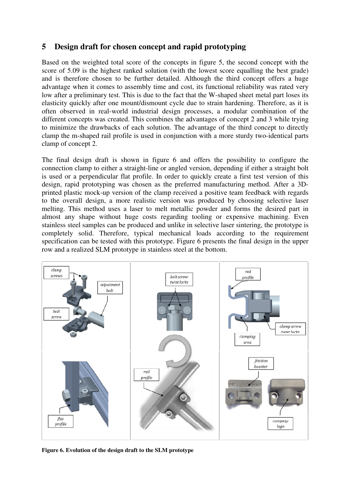### **5 Design draft for chosen concept and rapid prototyping**

Based on the weighted total score of the concepts in figure 5, the second concept with the score of 5.09 is the highest ranked solution (with the lowest score equalling the best grade) and is therefore chosen to be further detailed. Although the third concept offers a huge advantage when it comes to assembly time and cost, its functional reliability was rated very low after a preliminary test. This is due to the fact that the W-shaped sheet metal part loses its elasticity quickly after one mount/dismount cycle due to strain hardening. Therefore, as it is often observed in real-world industrial design processes, a modular combination of the different concepts was created. This combines the advantages of concept 2 and 3 while trying to minimize the drawbacks of each solution. The advantage of the third concept to directly clamp the m-shaped rail profile is used in conjunction with a more sturdy two-identical parts clamp of concept 2.

The final design draft is shown in figure 6 and offers the possibility to configure the connection clamp to either a straight-line or angled version, depending if either a straight bolt is used or a perpendicular flat profile. In order to quickly create a first test version of this design, rapid prototyping was chosen as the preferred manufacturing method. After a 3Dprinted plastic mock-up version of the clamp received a positive team feedback with regards to the overall design, a more realistic version was produced by choosing selective laser melting. This method uses a laser to melt metallic powder and forms the desired part in almost any shape without huge costs regarding tooling or expensive machining. Even stainless steel samples can be produced and unlike in selective laser sintering, the prototype is completely solid. Therefore, typical mechanical loads according to the requirement specification can be tested with this prototype. Figure 6 presents the final design in the upper row and a realized SLM prototype in stainless steel at the bottom.



**Figure 6. Evolution of the design draft to the SLM prototype**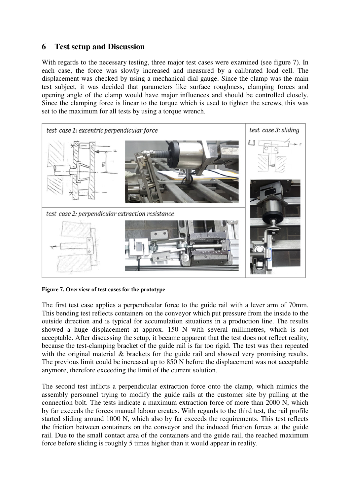#### **6 Test setup and Discussion**

With regards to the necessary testing, three major test cases were examined (see figure 7). In each case, the force was slowly increased and measured by a calibrated load cell. The displacement was checked by using a mechanical dial gauge. Since the clamp was the main test subject, it was decided that parameters like surface roughness, clamping forces and opening angle of the clamp would have major influences and should be controlled closely. Since the clamping force is linear to the torque which is used to tighten the screws, this was set to the maximum for all tests by using a torque wrench.



**Figure 7. Overview of test cases for the prototype** 

The first test case applies a perpendicular force to the guide rail with a lever arm of 70mm. This bending test reflects containers on the conveyor which put pressure from the inside to the outside direction and is typical for accumulation situations in a production line. The results showed a huge displacement at approx. 150 N with several millimetres, which is not acceptable. After discussing the setup, it became apparent that the test does not reflect reality, because the test-clamping bracket of the guide rail is far too rigid. The test was then repeated with the original material & brackets for the guide rail and showed very promising results. The previous limit could be increased up to 850 N before the displacement was not acceptable anymore, therefore exceeding the limit of the current solution.

The second test inflicts a perpendicular extraction force onto the clamp, which mimics the assembly personnel trying to modify the guide rails at the customer site by pulling at the connection bolt. The tests indicate a maximum extraction force of more than 2000 N, which by far exceeds the forces manual labour creates. With regards to the third test, the rail profile started sliding around 1000 N, which also by far exceeds the requirements. This test reflects the friction between containers on the conveyor and the induced friction forces at the guide rail. Due to the small contact area of the containers and the guide rail, the reached maximum force before sliding is roughly 5 times higher than it would appear in reality.